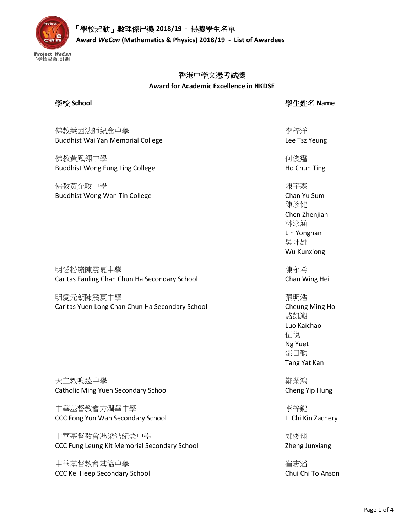

# 「學校起動」數理傑出獎 **2018/19 -** 得獎學生名單

 **Award** *WeCan* **(Mathematics & Physics) 2018/19 - List of Awardees**

### 香港中學文憑考試獎

**Award for Academic Excellence in HKDSE**

學校 **School** 學生姓名 **Name**

佛教慧因法師紀念中學 Buddhist Wai Yan Memorial College

佛教黃鳳翎中學 Buddhist Wong Fung Ling College

佛教黃允畋中學 Buddhist Wong Wan Tin College

明愛粉嶺陳震夏中學 Caritas Fanling Chan Chun Ha Secondary School

明愛元朗陳震夏中學 Caritas Yuen Long Chan Chun Ha Secondary School

天主教鳴遠中學 Catholic Ming Yuen Secondary School

中華基督教會方潤華中學 CCC Fong Yun Wah Secondary School

中華基督教會馮梁結紀念中學 CCC Fung Leung Kit Memorial Secondary School

中華基督教會基協中學 CCC Kei Heep Secondary School 李梓洋 Lee Tsz Yeung

何俊霆 Ho Chun Ting

陳宇森 Chan Yu Sum 陳珍健 Chen Zhenjian 林泳涵 Lin Yonghan 吳坤雄 Wu Kunxiong

陳永希 Chan Wing Hei

張明浩 Cheung Ming Ho 駱凱潮 Luo Kaichao 伍悅 Ng Yuet 鄧日勤 Tang Yat Kan

鄭業鴻 Cheng Yip Hung

李梓鍵 Li Chi Kin Zachery

鄭俊翔 Zheng Junxiang

崔志滔 Chui Chi To Anson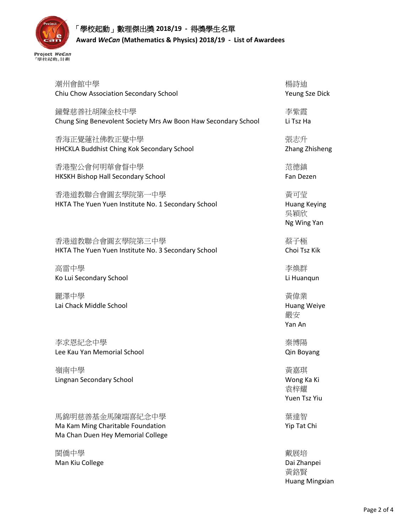

| 潮州會館中學                                                                                    | 楊詩迪                                              |
|-------------------------------------------------------------------------------------------|--------------------------------------------------|
| Chiu Chow Association Secondary School                                                    | Yeung Sze Dick                                   |
| 鐘聲慈善社胡陳金枝中學                                                                               | 李紫霞                                              |
| Chung Sing Benevolent Society Mrs Aw Boon Haw Secondary School                            | Li Tsz Ha                                        |
| 香海正覺蓮社佛教正覺中學                                                                              | 張志升                                              |
| HHCKLA Buddhist Ching Kok Secondary School                                                | Zhang Zhisheng                                   |
| 香港聖公會何明華會督中學                                                                              | 范德鎮                                              |
| HKSKH Bishop Hall Secondary School                                                        | Fan Dezen                                        |
| 香港道教聯合會圓玄學院第一中學<br>HKTA The Yuen Yuen Institute No. 1 Secondary School                    | 黃可莹<br><b>Huang Keying</b><br>吳穎欣<br>Ng Wing Yan |
| 香港道教聯合會圓玄學院第三中學                                                                           | 蔡子極                                              |
| HKTA The Yuen Yuen Institute No. 3 Secondary School                                       | Choi Tsz Kik                                     |
| 高雷中學                                                                                      | 李煥群                                              |
| Ko Lui Secondary School                                                                   | Li Huanqun                                       |
| 麗澤中學<br>Lai Chack Middle School                                                           | 黃偉業<br><b>Huang Weiye</b><br>嚴安<br>Yan An        |
| 李求恩紀念中學                                                                                   | 秦博陽                                              |
| Lee Kau Yan Memorial School                                                               | Qin Boyang                                       |
| 嶺南中學<br>Lingnan Secondary School                                                          | 黃嘉琪<br>Wong Ka Ki<br>袁梓耀<br>Yuen Tsz Yiu         |
| 馬錦明慈善基金馬陳端喜紀念中學<br>Ma Kam Ming Charitable Foundation<br>Ma Chan Duen Hey Memorial College | 葉達智<br>Yip Tat Chi                               |
| 閩僑中學<br>Man Kiu College                                                                   | 戴展培<br>Dai Zhanpei<br>黃鉻賢                        |

Huang Mingxian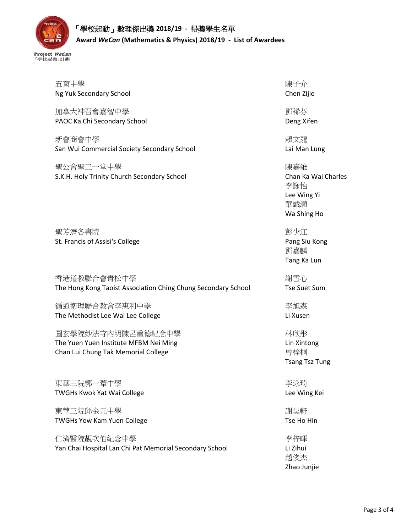| 五育中學<br>Ng Yuk Secondary School                               | 陳子介<br>Chen Zijie     |
|---------------------------------------------------------------|-----------------------|
|                                                               |                       |
| 加拿大神召會嘉智中學                                                    | 鄧稀芬                   |
| PAOC Ka Chi Secondary School                                  | Deng Xifen            |
|                                                               |                       |
| 新會商會中學                                                        | 賴文龍                   |
| San Wui Commercial Society Secondary School                   | Lai Man Lung          |
|                                                               |                       |
| 聖公會聖三一堂中學                                                     | 陳嘉維                   |
| S.K.H. Holy Trinity Church Secondary School                   | Chan Ka Wai Charles   |
|                                                               | 李詠怡                   |
|                                                               | Lee Wing Yi           |
|                                                               | 華誠灝                   |
|                                                               | Wa Shing Ho           |
|                                                               |                       |
| 聖芳濟各書院                                                        | 彭少江                   |
| St. Francis of Assisi's College                               | Pang Siu Kong         |
|                                                               | 鄧嘉麟                   |
|                                                               | Tang Ka Lun           |
| 香港道教聯合會青松中學                                                   | 謝雪心                   |
| The Hong Kong Taoist Association Ching Chung Secondary School | <b>Tse Suet Sum</b>   |
|                                                               |                       |
| 循道衛理聯合教會李惠利中學                                                 | 李旭森                   |
| The Methodist Lee Wai Lee College                             | Li Xusen              |
| 圓玄學院妙法寺內明陳呂重德紀念中學                                             | 林欣彤                   |
| The Yuen Yuen Institute MFBM Nei Ming                         | Lin Xintong           |
| Chan Lui Chung Tak Memorial College                           | 曾梓桐                   |
|                                                               | <b>Tsang Tsz Tung</b> |
|                                                               |                       |
| 東華三院郭一葦中學                                                     | 李泳琦                   |
| TWGHs Kwok Yat Wai College                                    | Lee Wing Kei          |
|                                                               |                       |
| 東華三院邱金元中學                                                     | 謝昊軒                   |
| <b>TWGHs Yow Kam Yuen College</b>                             | Tse Ho Hin            |
|                                                               |                       |
| 仁濟醫院靚次伯紀念中學                                                   | 李梓暉                   |
| Yan Chai Hospital Lan Chi Pat Memorial Secondary School       | Li Zihui              |
|                                                               | 趙俊杰                   |

Zhao Junjie